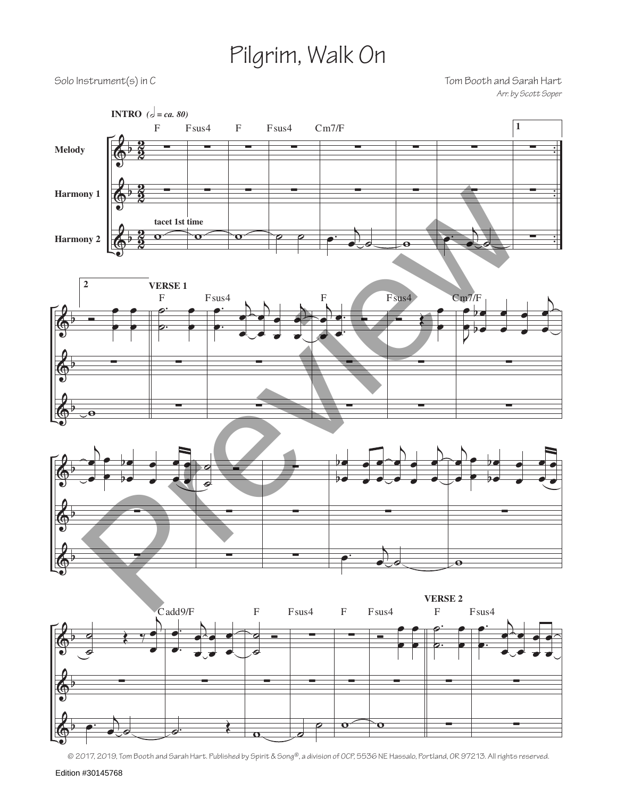## Pilgrim, Walk On

Solo Instrument(s) in C Tom Booth and Sarah Hart *Arr. by Scott Soper*



© 2017, 2019, Tom Booth and Sarah Hart. Published by Spirit & Song®, a division of OCP, 5536 NE Hassalo, Portland, OR 97213. All rights reserved.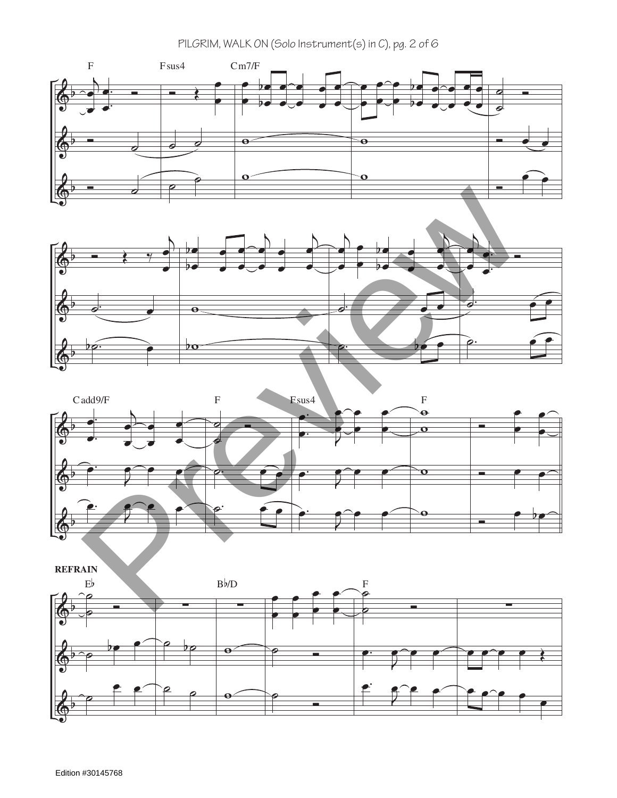PILGRIM, WALK ON (Solo Instrument(s) in C), pg. 2 of 6







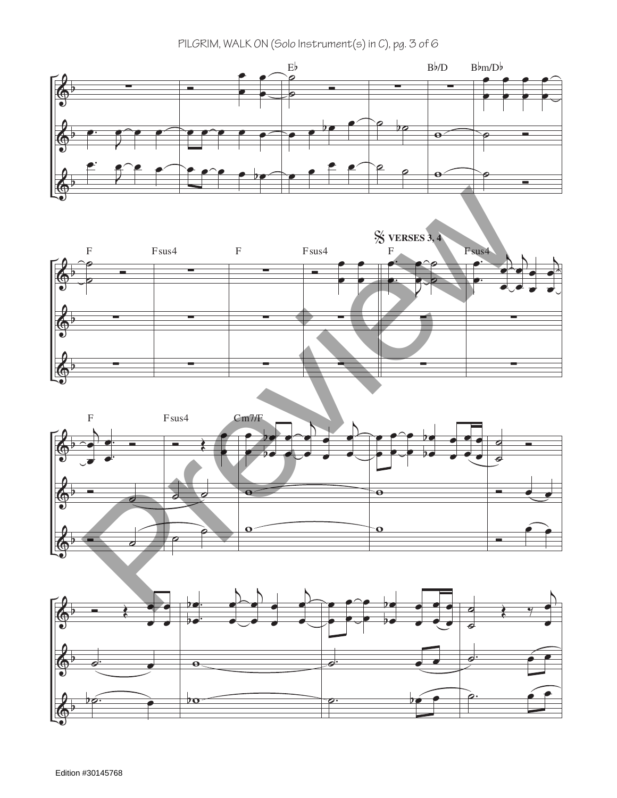PILGRIM, WALK ON (Solo Instrument(s) in C), pg. 3 of 6

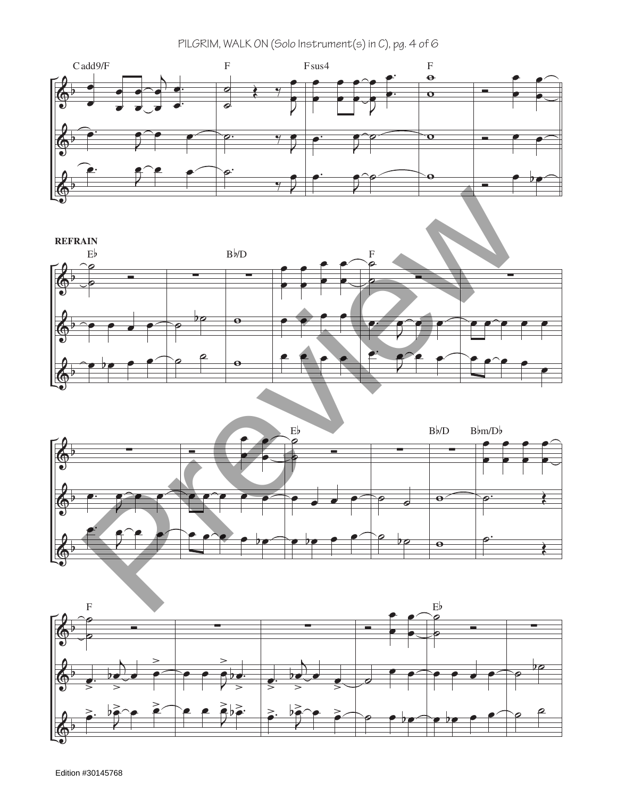PILGRIM, WALK ON (Solo Instrument(s) in C), pg. 4 of 6







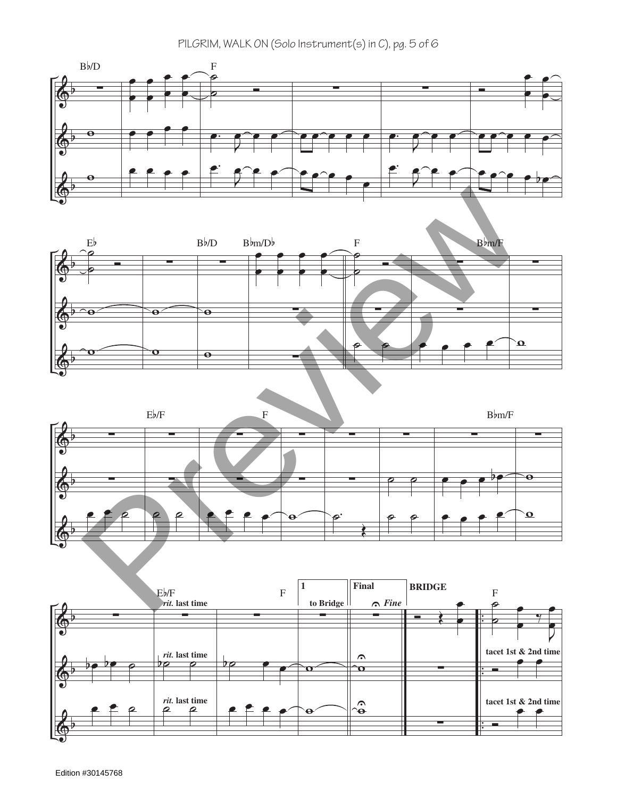PILGRIM, WALK ON (Solo Instrument(s) in C), pg. 5 of 6



.

. . tacet 1st & 2nd time

∑

 $e \neq e$ 

˙ ˙ *rit.* **last time**

 $e$   $e$   $e$ 

 $\mathbf \Omega$ 

ີ**ດ** 

 $\hat{\mathbf{e}}$ 

 $\mathbf \Theta$ 

 $\Phi$ 

 $\Phi$ 

b